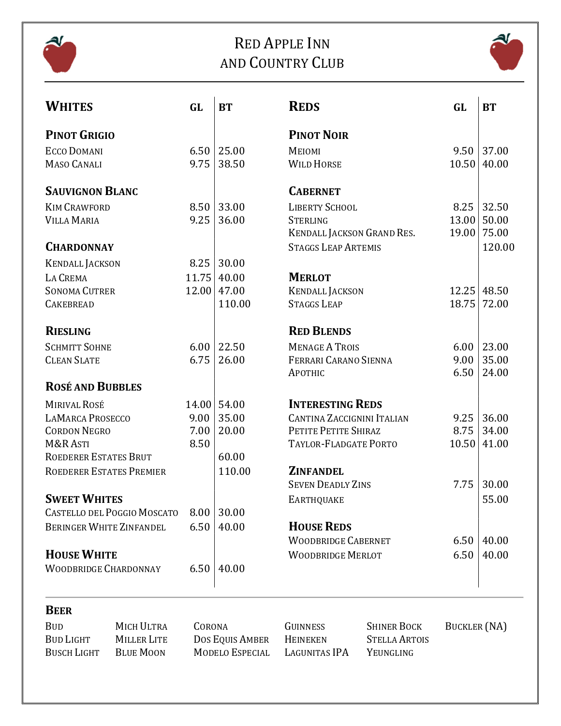

# RED APPLE INN AND COUNTRY CLUB



| <b>WHITES</b>                      | GL    | <b>BT</b> | <b>REDS</b>                       | GL    | <b>BT</b>   |
|------------------------------------|-------|-----------|-----------------------------------|-------|-------------|
| <b>PINOT GRIGIO</b>                |       |           | <b>PINOT NOIR</b>                 |       |             |
| <b>ECCO DOMANI</b>                 | 6.50  | 25.00     | MEIOMI                            | 9.50  | 37.00       |
| <b>MASO CANALI</b>                 | 9.75  | 38.50     | <b>WILD HORSE</b>                 | 10.50 | 40.00       |
| <b>SAUVIGNON BLANC</b>             |       |           | <b>CABERNET</b>                   |       |             |
| <b>KIM CRAWFORD</b>                | 8.50  | 33.00     | LIBERTY SCHOOL                    | 8.25  | 32.50       |
| <b>VILLA MARIA</b>                 | 9.25  | 36.00     | <b>STERLING</b>                   | 13.00 | 50.00       |
|                                    |       |           | KENDALL JACKSON GRAND RES.        |       | 19.00 75.00 |
| <b>CHARDONNAY</b>                  |       |           | <b>STAGGS LEAP ARTEMIS</b>        |       | 120.00      |
| <b>KENDALL JACKSON</b>             | 8.25  | 30.00     |                                   |       |             |
| LA CREMA                           | 11.75 | 40.00     | <b>MERLOT</b>                     |       |             |
| <b>SONOMA CUTRER</b>               | 12.00 | 47.00     | <b>KENDALL JACKSON</b>            | 12.25 | 48.50       |
| <b>CAKEBREAD</b>                   |       | 110.00    | <b>STAGGS LEAP</b>                | 18.75 | 72.00       |
| <b>RIESLING</b>                    |       |           | <b>RED BLENDS</b>                 |       |             |
| <b>SCHMITT SOHNE</b>               | 6.00  | 22.50     | <b>MENAGE A TROIS</b>             | 6.00  | 23.00       |
| <b>CLEAN SLATE</b>                 | 6.75  | 26.00     | FERRARI CARANO SIENNA             | 9.00  | 35.00       |
|                                    |       |           | APOTHIC                           | 6.50  | 24.00       |
| <b>ROSÉ AND BUBBLES</b>            |       |           |                                   |       |             |
| <b>MIRIVAL ROSÉ</b>                | 14.00 | 54.00     | <b>INTERESTING REDS</b>           |       |             |
| <b>LAMARCA PROSECCO</b>            | 9.00  | 35.00     | <b>CANTINA ZACCIGNINI ITALIAN</b> | 9.25  | 36.00       |
| <b>CORDON NEGRO</b>                | 7.00  | 20.00     | PETITE PETITE SHIRAZ              | 8.75  | 34.00       |
| M&R ASTI                           | 8.50  |           | TAYLOR-FLADGATE PORTO             | 10.50 | 41.00       |
| ROEDERER ESTATES BRUT              |       | 60.00     |                                   |       |             |
| ROEDERER ESTATES PREMIER           |       | 110.00    | <b>ZINFANDEL</b>                  |       |             |
|                                    |       |           | <b>SEVEN DEADLY ZINS</b>          | 7.75  | 30.00       |
| <b>SWEET WHITES</b>                |       |           | <b>EARTHQUAKE</b>                 |       | 55.00       |
| <b>CASTELLO DEL POGGIO MOSCATO</b> | 8.00  | 30.00     |                                   |       |             |
| <b>BERINGER WHITE ZINFANDEL</b>    | 6.50  | 40.00     | <b>HOUSE REDS</b>                 |       |             |
|                                    |       |           | <b>WOODBRIDGE CABERNET</b>        | 6.50  | 40.00       |
| <b>HOUSE WHITE</b>                 |       |           | <b>WOODBRIDGE MERLOT</b>          | 6.50  | 40.00       |
| <b>WOODBRIDGE CHARDONNAY</b>       | 6.50  | 40.00     |                                   |       |             |

## **BEER**

BUD MICH ULTRA CORONA GUINNESS SHINER BOCK BUCKLER (NA)<br>BUD LIGHT MILLER LITE DOS EQUIS AMBER HEINEKEN STELLA ARTOIS DOS EQUIS AMBER HEINEKEN BUSCH LIGHT BLUE MOON MODELO ESPECIAL LAGUNITAS IPA YEUNGLING